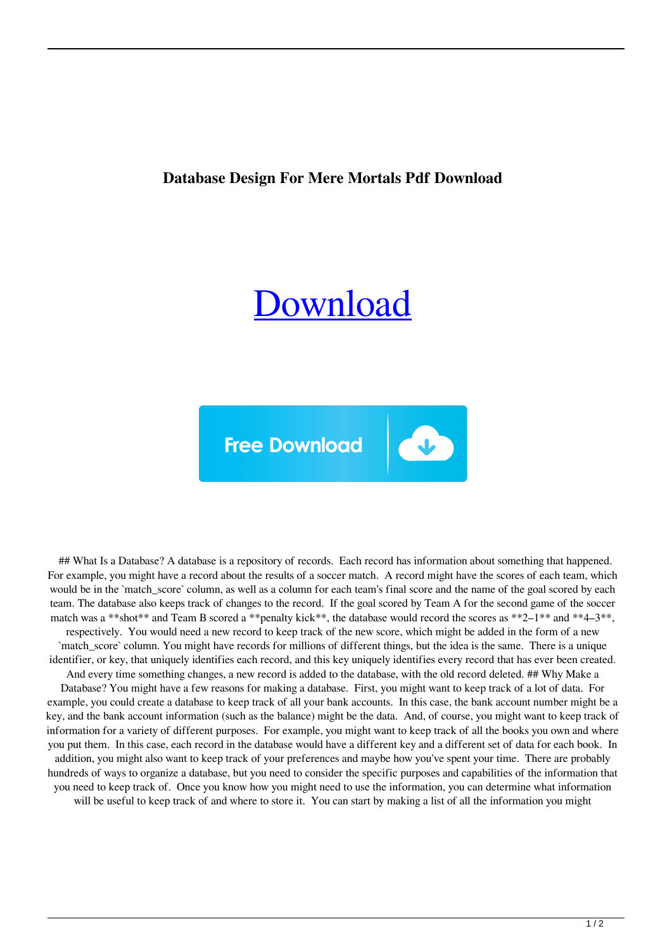## **Database Design For Mere Mortals Pdf Download**

## [Download](http://evacdir.com/ZG93bmxvYWR8YTFRTVhnd2MzeDhNVFkxTWpRMk16QTFNSHg4TWpVM05IeDhLRTBwSUhKbFlXUXRZbXh2WnlCYlJtRnpkQ0JIUlU1ZA/ZGF0YWJhc2UgZGVzaWduIGZvciBtZXJlIG1vcnRhbHMgcGRmIGRvd25sb2FkZGF/halper.emfnews/emulsifiers.zweig)

U

**Free Download** 

## What Is a Database? A database is a repository of records. Each record has information about something that happened. For example, you might have a record about the results of a soccer match. A record might have the scores of each team, which would be in the `match\_score` column, as well as a column for each team's final score and the name of the goal scored by each team. The database also keeps track of changes to the record. If the goal scored by Team A for the second game of the soccer match was a \*\*shot\*\* and Team B scored a \*\*penalty kick\*\*, the database would record the scores as \*\*2–1\*\* and \*\*4–3\*\*, respectively. You would need a new record to keep track of the new score, which might be added in the form of a new `match\_score` column. You might have records for millions of different things, but the idea is the same. There is a unique identifier, or key, that uniquely identifies each record, and this key uniquely identifies every record that has ever been created. And every time something changes, a new record is added to the database, with the old record deleted. ## Why Make a Database? You might have a few reasons for making a database. First, you might want to keep track of a lot of data. For example, you could create a database to keep track of all your bank accounts. In this case, the bank account number might be a key, and the bank account information (such as the balance) might be the data. And, of course, you might want to keep track of information for a variety of different purposes. For example, you might want to keep track of all the books you own and where you put them. In this case, each record in the database would have a different key and a different set of data for each book. In addition, you might also want to keep track of your preferences and maybe how you've spent your time. There are probably hundreds of ways to organize a database, but you need to consider the specific purposes and capabilities of the information that you need to keep track of. Once you know how you might need to use the information, you can determine what information will be useful to keep track of and where to store it. You can start by making a list of all the information you might